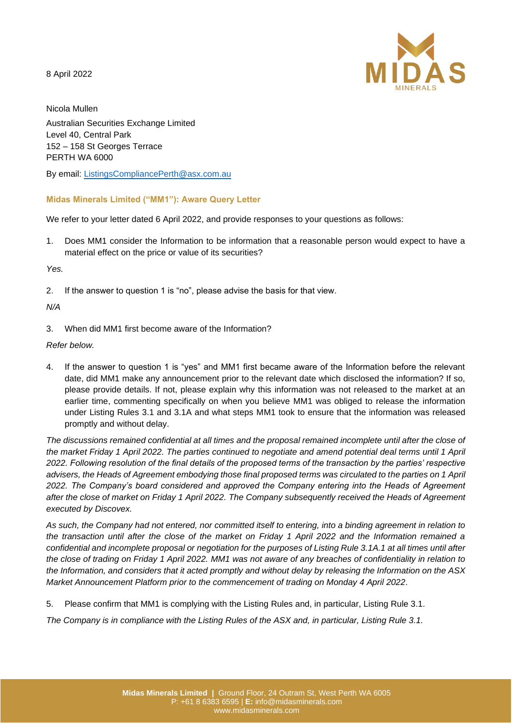8 April 2022



Nicola Mullen Australian Securities Exchange Limited Level 40, Central Park 152 – 158 St Georges Terrace PERTH WA 6000

By email: [ListingsCompliancePerth@asx.com.au](mailto:ListingsCompliancePerth@asx.com.au)

# **Midas Minerals Limited ("MM1"): Aware Query Letter**

We refer to your letter dated 6 April 2022, and provide responses to your questions as follows:

1. Does MM1 consider the Information to be information that a reasonable person would expect to have a material effect on the price or value of its securities?

*Yes.*

2. If the answer to question 1 is "no", please advise the basis for that view.

# *N/A*

3. When did MM1 first become aware of the Information?

## *Refer below.*

4. If the answer to question 1 is "yes" and MM1 first became aware of the Information before the relevant date, did MM1 make any announcement prior to the relevant date which disclosed the information? If so, please provide details. If not, please explain why this information was not released to the market at an earlier time, commenting specifically on when you believe MM1 was obliged to release the information under Listing Rules 3.1 and 3.1A and what steps MM1 took to ensure that the information was released promptly and without delay.

*The discussions remained confidential at all times and the proposal remained incomplete until after the close of the market Friday 1 April 2022. The parties continued to negotiate and amend potential deal terms until 1 April 2022. Following resolution of the final details of the proposed terms of the transaction by the parties' respective advisers, the Heads of Agreement embodying those final proposed terms was circulated to the parties on 1 April*  2022. The Company's board considered and approved the Company entering into the Heads of Agreement *after the close of market on Friday 1 April 2022. The Company subsequently received the Heads of Agreement executed by Discovex.* 

*As such, the Company had not entered, nor committed itself to entering, into a binding agreement in relation to the transaction until after the close of the market on Friday 1 April 2022 and the Information remained a confidential and incomplete proposal or negotiation for the purposes of Listing Rule 3.1A.1 at all times until after the close of trading on Friday 1 April 2022. MM1 was not aware of any breaches of confidentiality in relation to the Information, and considers that it acted promptly and without delay by releasing the Information on the ASX Market Announcement Platform prior to the commencement of trading on Monday 4 April 2022.* 

5. Please confirm that MM1 is complying with the Listing Rules and, in particular, Listing Rule 3.1.

*The Company is in compliance with the Listing Rules of the ASX and, in particular, Listing Rule 3.1.*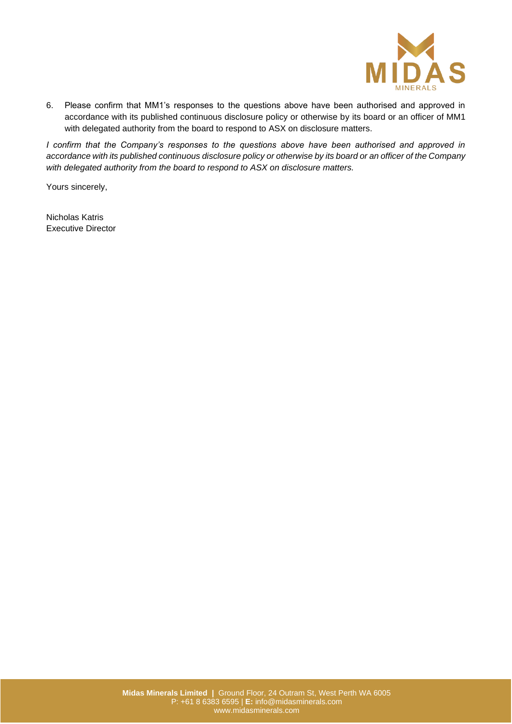

6. Please confirm that MM1's responses to the questions above have been authorised and approved in accordance with its published continuous disclosure policy or otherwise by its board or an officer of MM1 with delegated authority from the board to respond to ASX on disclosure matters.

*I confirm that the Company's responses to the questions above have been authorised and approved in accordance with its published continuous disclosure policy or otherwise by its board or an officer of the Company with delegated authority from the board to respond to ASX on disclosure matters.*

Yours sincerely,

Nicholas Katris Executive Director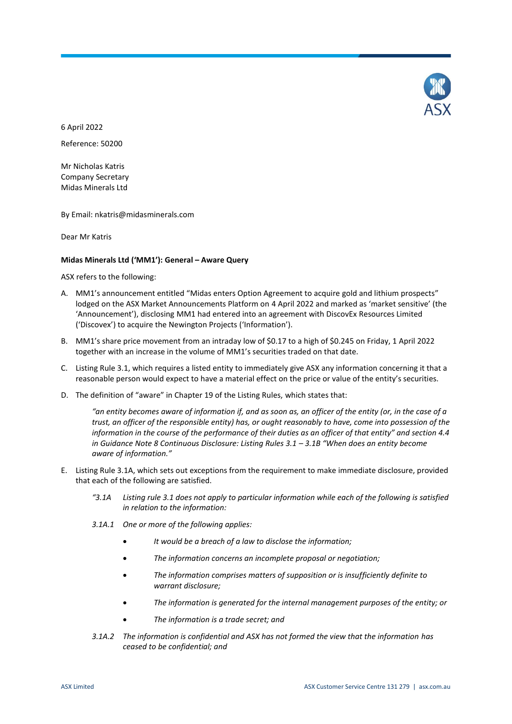

6 April 2022 Reference: 50200

Mr Nicholas Katris Company Secretary Midas Minerals Ltd

By Email: nkatris@midasminerals.com

Dear Mr Katris

## **Midas Minerals Ltd ('MM1'): General – Aware Query**

ASX refers to the following:

- A. MM1's announcement entitled "Midas enters Option Agreement to acquire gold and lithium prospects" lodged on the ASX Market Announcements Platform on 4 April 2022 and marked as 'market sensitive' (the 'Announcement'), disclosing MM1 had entered into an agreement with DiscovEx Resources Limited ('Discovex') to acquire the Newington Projects ('Information').
- B. MM1's share price movement from an intraday low of \$0.17 to a high of \$0.245 on Friday, 1 April 2022 together with an increase in the volume of MM1's securities traded on that date.
- C. Listing Rule 3.1, which requires a listed entity to immediately give ASX any information concerning it that a reasonable person would expect to have a material effect on the price or value of the entity's securities.
- D. The definition of "aware" in Chapter 19 of the Listing Rules, which states that:

*"an entity becomes aware of information if, and as soon as, an officer of the entity (or, in the case of a trust, an officer of the responsible entity) has, or ought reasonably to have, come into possession of the information in the course of the performance of their duties as an officer of that entity" and section 4.4 in Guidance Note 8 Continuous Disclosure: Listing Rules 3.1 - 3.1B "When does an entity become aware of information."*

- E. Listing Rule 3.1A, which sets out exceptions from the requirement to make immediate disclosure, provided that each of the following are satisfied.
	- *"3.1A Listing rule 3.1 does not apply to particular information while each of the following is satisfied in relation to the information:*
	- *3.1A.1 One or more of the following applies:*
		- *It would be a breach of a law to disclose the information;*
		- *The information concerns an incomplete proposal or negotiation;*
		- *The information comprises matters of supposition or is insufficiently definite to warrant disclosure;*
		- *The information is generated for the internal management purposes of the entity; or*
		- *The information is a trade secret; and*
	- *3.1A.2 The information is confidential and ASX has not formed the view that the information has ceased to be confidential; and*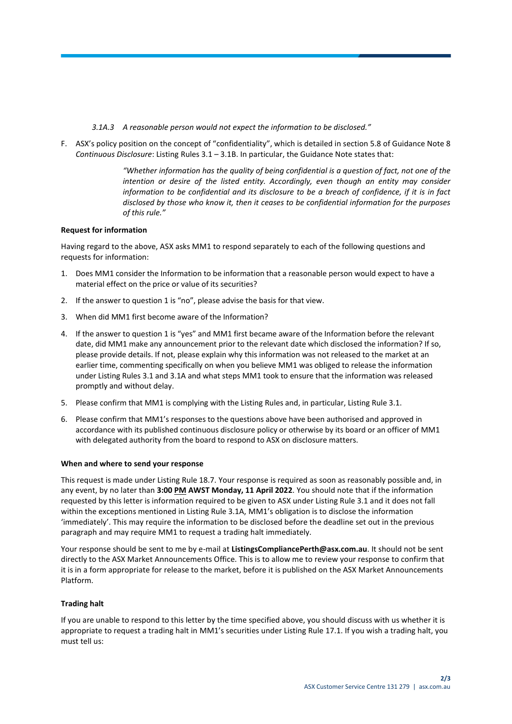- *3.1A.3 A reasonable person would not expect the information to be disclosed."*
- F. ASX's policy position on the concept of "confidentiality", which is detailed in section 5.8 of Guidance Note 8 *Continuous Disclosure*: Listing Rules 3.1 – 3.1B. In particular, the Guidance Note states that:

*"Whether information has the quality of being confidential is a question of fact, not one of the*  intention or desire of the listed entity. Accordingly, even though an entity may consider *information to be confidential and its disclosure to be a breach of confidence, if it is in fact disclosed by those who know it, then it ceases to be confidential information for the purposes of this rule."*

## **Request for information**

Having regard to the above, ASX asks MM1 to respond separately to each of the following questions and requests for information:

- 1. Does MM1 consider the Information to be information that a reasonable person would expect to have a material effect on the price or value of its securities?
- 2. If the answer to question 1 is "no", please advise the basis for that view.
- 3. When did MM1 first become aware of the Information?
- 4. If the answer to question 1 is "yes" and MM1 first became aware of the Information before the relevant date, did MM1 make any announcement prior to the relevant date which disclosed the information? If so, please provide details. If not, please explain why this information was not released to the market at an earlier time, commenting specifically on when you believe MM1 was obliged to release the information under Listing Rules 3.1 and 3.1A and what steps MM1 took to ensure that the information was released promptly and without delay.
- 5. Please confirm that MM1 is complying with the Listing Rules and, in particular, Listing Rule 3.1.
- 6. Please confirm that MM1's responses to the questions above have been authorised and approved in accordance with its published continuous disclosure policy or otherwise by its board or an officer of MM1 with delegated authority from the board to respond to ASX on disclosure matters.

#### **When and where to send your response**

This request is made under Listing Rule 18.7. Your response is required as soon as reasonably possible and, in any event, by no later than **3:00 PM AWST Monday, 11 April 2022**. You should note that if the information requested by this letter is information required to be given to ASX under Listing Rule 3.1 and it does not fall within the exceptions mentioned in Listing Rule 3.1A, MM1's obligation is to disclose the information 'immediately'. This may require the information to be disclosed before the deadline set out in the previous paragraph and may require MM1 to request a trading halt immediately.

Your response should be sent to me by e-mail at **ListingsCompliancePerth@asx.com.au**. It should not be sent directly to the ASX Market Announcements Office. This is to allow me to review your response to confirm that it is in a form appropriate for release to the market, before it is published on the ASX Market Announcements Platform.

#### **Trading halt**

If you are unable to respond to this letter by the time specified above, you should discuss with us whether it is appropriate to request a trading halt in MM1's securities under Listing Rule 17.1. If you wish a trading halt, you must tell us: